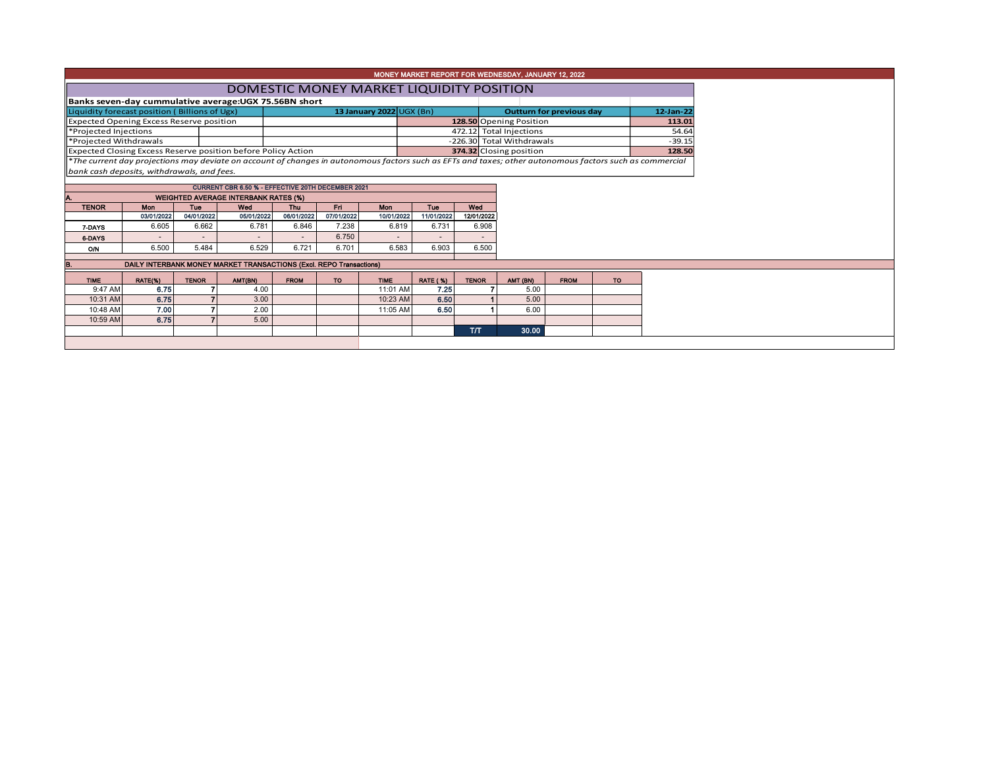| MONEY MARKET REPORT FOR WEDNESDAY, JANUARY 12, 2022                                                                                                      |                                                                     |              |            |             |            |                          |                 |              |                                 |             |           |          |  |  |  |
|----------------------------------------------------------------------------------------------------------------------------------------------------------|---------------------------------------------------------------------|--------------|------------|-------------|------------|--------------------------|-----------------|--------------|---------------------------------|-------------|-----------|----------|--|--|--|
|                                                                                                                                                          | DOMESTIC MONEY MARKET LIQUIDITY POSITION                            |              |            |             |            |                          |                 |              |                                 |             |           |          |  |  |  |
| Banks seven-day cummulative average: UGX 75.56BN short                                                                                                   |                                                                     |              |            |             |            |                          |                 |              |                                 |             |           |          |  |  |  |
| Liquidity forecast position (Billions of Ugx)                                                                                                            |                                                                     |              |            |             |            | 13 January 2022 UGX (Bn) |                 |              | <b>Outturn for previous day</b> |             | 12-Jan-22 |          |  |  |  |
| Expected Opening Excess Reserve position                                                                                                                 |                                                                     |              |            |             |            |                          |                 |              | 128.50 Opening Position         |             |           | 113.01   |  |  |  |
| <b>*Projected Injections</b>                                                                                                                             |                                                                     |              |            |             |            |                          |                 |              | 472.12 Total Injections         |             |           | 54.64    |  |  |  |
| <b>Projected Withdrawals</b>                                                                                                                             |                                                                     |              |            |             |            |                          |                 |              | -226.30 Total Withdrawals       |             |           | $-39.15$ |  |  |  |
| Expected Closing Excess Reserve position before Policy Action                                                                                            |                                                                     |              |            |             |            |                          |                 |              | 374.32 Closing position         |             |           | 128.50   |  |  |  |
| *The current day projections may deviate on account of changes in autonomous factors such as EFTs and taxes; other autonomous factors such as commercial |                                                                     |              |            |             |            |                          |                 |              |                                 |             |           |          |  |  |  |
| bank cash deposits, withdrawals, and fees.                                                                                                               |                                                                     |              |            |             |            |                          |                 |              |                                 |             |           |          |  |  |  |
|                                                                                                                                                          | CURRENT CBR 6.50 % - EFFECTIVE 20TH DECEMBER 2021                   |              |            |             |            |                          |                 |              |                                 |             |           |          |  |  |  |
| А.                                                                                                                                                       | <b>WEIGHTED AVERAGE INTERBANK RATES (%)</b>                         |              |            |             |            |                          |                 |              |                                 |             |           |          |  |  |  |
| <b>TENOR</b>                                                                                                                                             | <b>Mon</b>                                                          | <b>Tue</b>   | Wed        | Thu         | Fri.       | <b>Mon</b>               | Tue             | Wed          |                                 |             |           |          |  |  |  |
|                                                                                                                                                          | 03/01/2022                                                          | 04/01/2022   | 05/01/2022 | 06/01/2022  | 07/01/2022 | 10/01/2022               | 11/01/2022      | 12/01/2022   |                                 |             |           |          |  |  |  |
| 7-DAYS                                                                                                                                                   | 6.605                                                               | 6.662        | 6.781      | 6.846       | 7.238      | 6.819                    | 6.731           | 6.908        |                                 |             |           |          |  |  |  |
| 6-DAYS                                                                                                                                                   |                                                                     |              |            |             | 6.750      | $\sim$                   |                 |              |                                 |             |           |          |  |  |  |
| <b>O/N</b>                                                                                                                                               | 6.500                                                               | 5.484        | 6.529      | 6.721       | 6.701      | 6.583                    | 6.903           | 6.500        |                                 |             |           |          |  |  |  |
|                                                                                                                                                          |                                                                     |              |            |             |            |                          |                 |              |                                 |             |           |          |  |  |  |
| B.                                                                                                                                                       | DAILY INTERBANK MONEY MARKET TRANSACTIONS (Excl. REPO Transactions) |              |            |             |            |                          |                 |              |                                 |             |           |          |  |  |  |
| <b>TIME</b>                                                                                                                                              | RATE(%)                                                             | <b>TENOR</b> | AMT(BN)    | <b>FROM</b> | TO         | <b>TIME</b>              | <b>RATE (%)</b> | <b>TENOR</b> | AMT (BN)                        | <b>FROM</b> | <b>TO</b> |          |  |  |  |
| 9:47 AM                                                                                                                                                  | 6.75                                                                |              | 4.00       |             |            | 11:01 AM                 | 7.25            |              | 5.00                            |             |           |          |  |  |  |
| 10:31 AM                                                                                                                                                 | 6.75                                                                |              | 3.00       |             |            | 10:23 AM                 | 6.50            |              | 5.00                            |             |           |          |  |  |  |
| 10:48 AM                                                                                                                                                 | 7.00                                                                |              | 2.00       |             |            | 11:05 AM                 | 6.50            |              | 6.00                            |             |           |          |  |  |  |
| 10:59 AM                                                                                                                                                 | 6.75                                                                |              | 5.00       |             |            |                          |                 |              |                                 |             |           |          |  |  |  |
|                                                                                                                                                          |                                                                     |              |            |             |            |                          |                 | <b>T/T</b>   | 30.00                           |             |           |          |  |  |  |
|                                                                                                                                                          |                                                                     |              |            |             |            |                          |                 |              |                                 |             |           |          |  |  |  |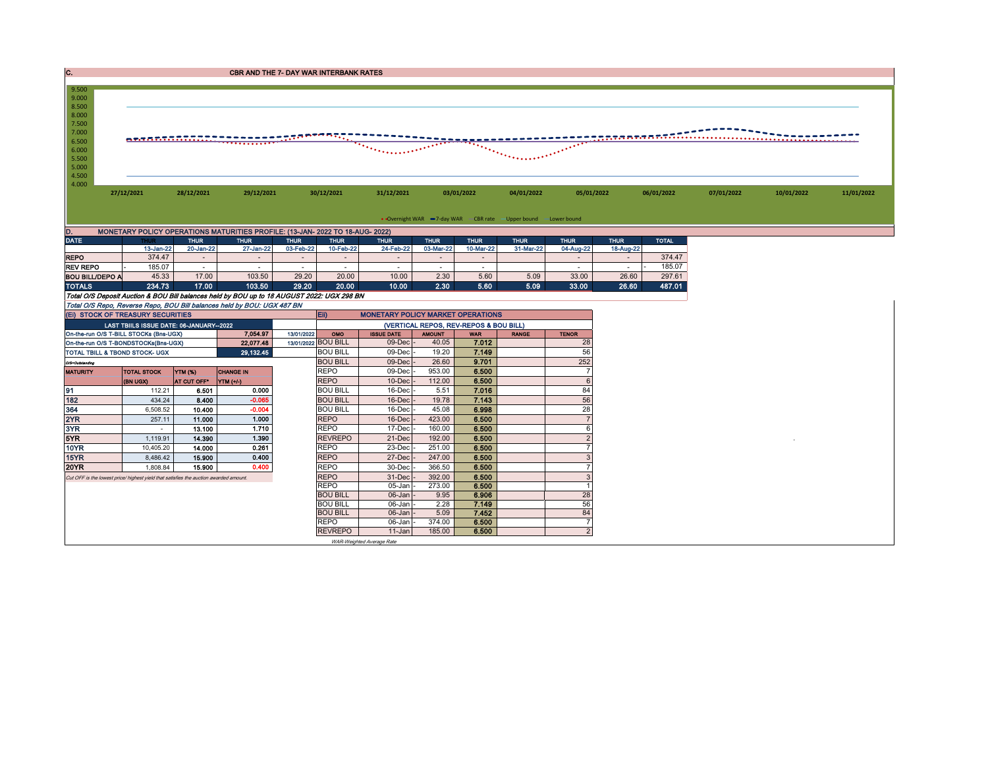| $\mathbf{c}$ .                                                                                           |                                                                                                                      |             | <b>CBR AND THE 7- DAY WAR INTERBANK RATES</b> |                          |                          |                          |             |                                                                                  |                                                                 |             |                          |              |            |            |            |
|----------------------------------------------------------------------------------------------------------|----------------------------------------------------------------------------------------------------------------------|-------------|-----------------------------------------------|--------------------------|--------------------------|--------------------------|-------------|----------------------------------------------------------------------------------|-----------------------------------------------------------------|-------------|--------------------------|--------------|------------|------------|------------|
| 9.500<br>9.000<br>8.500<br>8.000<br>7.500<br>7.000<br>6.500<br>6.000<br>5.500<br>5.000<br>4.500<br>4.000 | <u>etabrantanan (1995) - 1995 (1995) - 1995 (1996) - 1996 (1996) - 1996 (1996) - 1996 (1996) - 1996 (1996) - 199</u> |             |                                               |                          |                          |                          |             | $\overline{\mathcal{F}_{\mathcal{F}_{\mathcal{F}_{\mathcal{F}_{\mathcal{F}}}}}}$ |                                                                 |             | staaraaraata             |              |            |            |            |
|                                                                                                          | 27/12/2021<br>28/12/2021<br>29/12/2021<br>30/12/2021                                                                 |             |                                               |                          |                          | 31/12/2021               |             | 03/01/2022                                                                       | 04/01/2022<br>05/01/2022                                        |             |                          | 06/01/2022   | 07/01/2022 | 10/01/2022 | 11/01/2022 |
|                                                                                                          |                                                                                                                      |             |                                               |                          |                          |                          |             |                                                                                  | • Overnight WAR -7-day WAR - CBR rate -Upper bound -Lower bound |             |                          |              |            |            |            |
| D.                                                                                                       | MONETARY POLICY OPERATIONS MATURITIES PROFILE: (13-JAN- 2022 TO 18-AUG- 2022)                                        |             |                                               |                          |                          |                          |             |                                                                                  |                                                                 |             |                          |              |            |            |            |
| <b>DATE</b>                                                                                              | <b>THUR</b>                                                                                                          | <b>THUR</b> | <b>THUR</b>                                   | <b>THUR</b>              | <b>THUR</b>              | <b>THUR</b>              | <b>THUR</b> | <b>THUR</b>                                                                      | <b>THUR</b>                                                     | <b>THUR</b> | <b>THUR</b>              | <b>TOTAL</b> |            |            |            |
|                                                                                                          | 13-Jan-22                                                                                                            | 20-Jan-22   | 27-Jan-22                                     | 03-Feb-22                | 10-Feb-22                | 24-Feb-22                | 03-Mar-22   | 10-Mar-22                                                                        | 31-Mar-22                                                       | 04-Aug-22   | 18-Aug-22                |              |            |            |            |
| <b>REPO</b>                                                                                              | 374.47                                                                                                               | $\sim$      | $\overline{\phantom{a}}$                      | $\sim$                   | $\overline{\phantom{a}}$ | $\sim$                   | $\sim$      |                                                                                  |                                                                 | $\sim$      | $\overline{\phantom{a}}$ | 374.47       |            |            |            |
| <b>REV REPO</b>                                                                                          | 185.07                                                                                                               | $\sim$      | $\overline{\phantom{a}}$                      | $\overline{\phantom{a}}$ | ٠                        | $\overline{\phantom{a}}$ |             |                                                                                  |                                                                 |             | $\sim$                   | 185.07       |            |            |            |
| <b>BOU BILL/DEPO A</b>                                                                                   | 45.33                                                                                                                | 17.00       | 103.50                                        | 29.20                    | 20.00                    | 10.00                    | 2.30        | 5.60                                                                             | 5.09                                                            | 33.00       | 26.60                    | 297.61       |            |            |            |
| <b>TOTALS</b>                                                                                            | 234.73                                                                                                               | 17.00       | 103.50                                        | 29.20                    | 20.00                    | 10.00                    | 2.30        | 5.60                                                                             | 5.09                                                            | 33.00       | 26.60                    | 487.01       |            |            |            |
| Total O/S Deposit Auction & BOU Bill balances held by BOU up to 18 AUGUST 2022: UGX 298 BN               |                                                                                                                      |             |                                               |                          |                          |                          |             |                                                                                  |                                                                 |             |                          |              |            |            |            |
| Total O/S Repo, Reverse Repo, BOU Bill balances held by BOU: UGX 487 BN                                  |                                                                                                                      |             |                                               |                          |                          |                          |             |                                                                                  |                                                                 |             |                          |              |            |            |            |

|                                                                          | (EI) STOCK OF TREASURY SECURITIES                                                    |                    |                  |            | Eii)                                   | <b>MONETARY POLICY MARKET OPERATIONS</b> |               |            |              |                |  |  |
|--------------------------------------------------------------------------|--------------------------------------------------------------------------------------|--------------------|------------------|------------|----------------------------------------|------------------------------------------|---------------|------------|--------------|----------------|--|--|
|                                                                          | LAST TBIILS ISSUE DATE: 06-JANUARY-2022                                              |                    |                  |            | (VERTICAL REPOS, REV-REPOS & BOU BILL) |                                          |               |            |              |                |  |  |
|                                                                          | On-the-run O/S T-BILL STOCKs (Bns-UGX)                                               |                    | 7.054.97         | 13/01/2022 | OMO                                    | <b>ISSUE DATE</b>                        | <b>AMOUNT</b> | <b>WAR</b> | <b>RANGE</b> | <b>TENOR</b>   |  |  |
| 13/01/2022 BOU BILL<br>22,077.48<br>On-the-run O/S T-BONDSTOCKs(Bns-UGX) |                                                                                      |                    |                  |            |                                        | 09-Decl                                  | 40.05         | 7.012      |              | 28             |  |  |
| 29,132.45<br>TOTAL TBILL & TBOND STOCK- UGX                              |                                                                                      |                    |                  |            | <b>BOU BILL</b>                        | 09-Decl                                  | 19.20         | 7.149      |              | 56             |  |  |
| O/S=Outstanding                                                          |                                                                                      |                    |                  |            | <b>BOU BILL</b>                        | $09$ -Dec                                | 26.60         | 9.701      |              | 252            |  |  |
| <b>MATURITY</b>                                                          | <b>TOTAL STOCK</b>                                                                   | <b>YTM (%)</b>     | <b>CHANGE IN</b> |            | <b>REPO</b>                            | 09-Dec                                   | 953.00        | 6.500      |              |                |  |  |
|                                                                          | (BN UGX)                                                                             | <b>AT CUT OFF*</b> | YTM (+/-)        |            | <b>REPO</b>                            | 10-Dec                                   | 112.00        | 6.500      |              | 6              |  |  |
| 91                                                                       | 112.21                                                                               | 6.501              | 0.000            |            | <b>BOU BILL</b>                        | $16$ -Dec                                | 5.51          | 7.016      |              | 84             |  |  |
| 182                                                                      | 434.24                                                                               | 8.400              | $-0.065$         |            | <b>BOU BILL</b>                        | $16$ -Dec                                | 19.78         | 7.143      |              | 56             |  |  |
| 364                                                                      | 6,508.52                                                                             | 10.400             | $-0.004$         |            | <b>BOU BILL</b>                        | 16-Decl                                  | 45.08         | 6.998      |              | 28             |  |  |
| 2YR                                                                      | 257.11                                                                               | 11.000             | 1.000            |            | <b>REPO</b>                            | 16-Dec                                   | 423.00        | 6.500      |              |                |  |  |
| 3YR                                                                      |                                                                                      | 13.100             | 1.710            |            | <b>REPO</b>                            | 17-Dec                                   | 160.00        | 6.500      |              | 6              |  |  |
| 5YR.                                                                     | 1.119.91                                                                             | 14.390             | 1.390            |            | <b>REVREPO</b>                         | 21-Dec                                   | 192.00        | 6.500      |              |                |  |  |
| 10YR                                                                     | 10.405.20                                                                            | 14.000             | 0.261            |            | <b>REPO</b>                            | 23-Dec                                   | 251.00        | 6.500      |              |                |  |  |
| 15YR                                                                     | 8,486.42                                                                             | 15.900             | 0.400            |            | <b>REPO</b>                            | 27-Dec                                   | 247.00        | 6.500      |              | 3              |  |  |
| 20YR                                                                     | 1.808.84                                                                             | 15.900             | 0.400            |            | <b>REPO</b>                            | 30-Dec                                   | 366.50        | 6.500      |              |                |  |  |
|                                                                          | Cut OFF is the lowest price/highest vield that satisfies the auction awarded amount. |                    |                  |            | <b>REPO</b>                            | 31-Dec                                   | 392.00        | 6.500      |              | 3              |  |  |
|                                                                          |                                                                                      |                    |                  |            | <b>REPO</b>                            | 05-Jan                                   | 273.00        | 6.500      |              |                |  |  |
|                                                                          |                                                                                      |                    |                  |            | <b>BOU BILL</b>                        | $06$ -Jan                                | 9.95          | 6.906      |              | 28             |  |  |
|                                                                          |                                                                                      |                    |                  |            | <b>BOU BILL</b>                        | $06$ -Jan                                | 2.28          | 7.149      |              | 56             |  |  |
|                                                                          |                                                                                      |                    |                  |            | <b>BOU BILL</b>                        | $06$ -Jan $\vert$ -                      | 5.09          | 7.452      |              | 84             |  |  |
|                                                                          |                                                                                      |                    |                  |            | <b>REPO</b>                            | 06-Jan                                   | 374.00        | 6.500      |              |                |  |  |
|                                                                          |                                                                                      |                    |                  |            | <b>REVREPO</b>                         | $11 - Jan$                               | 185.00        | 6.500      |              | $\overline{2}$ |  |  |
| WAR-Weighted Average Rate                                                |                                                                                      |                    |                  |            |                                        |                                          |               |            |              |                |  |  |